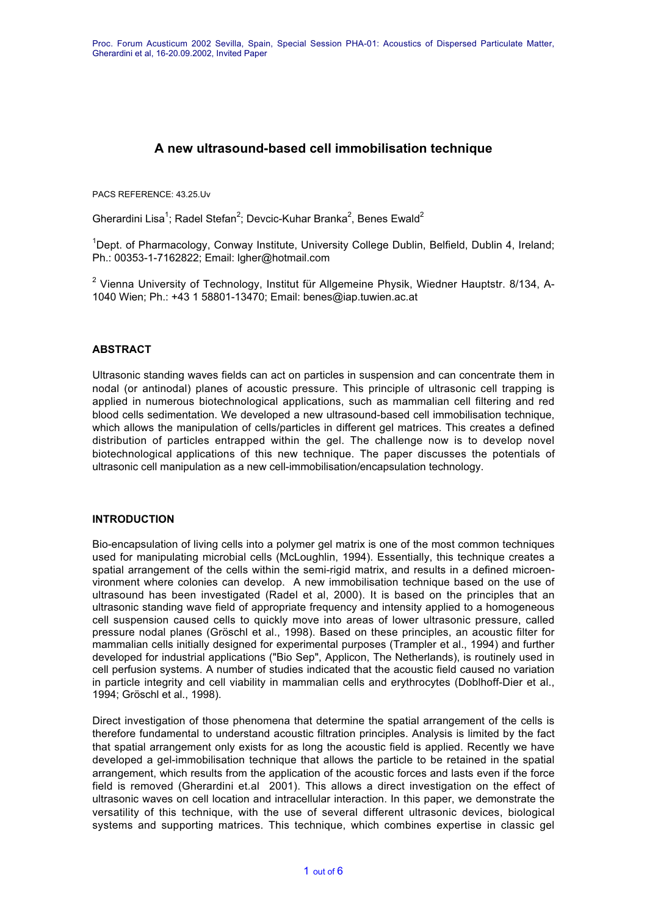# **A new ultrasound-based cell immobilisation technique**

PACS REFERENCE: 43.25.Uv

Gherardini Lisa<sup>1</sup>; Radel Stefan<sup>2</sup>; Devcic-Kuhar Branka<sup>2</sup>, Benes Ewald<sup>2</sup>

<sup>1</sup>Dept. of Pharmacology, Conway Institute, University College Dublin, Belfield, Dublin 4, Ireland; Ph.: 00353-1-7162822; Email: lgher@hotmail.com

<sup>2</sup> Vienna University of Technology, Institut für Allgemeine Physik, Wiedner Hauptstr. 8/134, A-1040 Wien; Ph.: +43 1 58801-13470; Email: benes@iap.tuwien.ac.at

## **ABSTRACT**

Ultrasonic standing waves fields can act on particles in suspension and can concentrate them in nodal (or antinodal) planes of acoustic pressure. This principle of ultrasonic cell trapping is applied in numerous biotechnological applications, such as mammalian cell filtering and red blood cells sedimentation. We developed a new ultrasound-based cell immobilisation technique, which allows the manipulation of cells/particles in different gel matrices. This creates a defined distribution of particles entrapped within the gel. The challenge now is to develop novel biotechnological applications of this new technique. The paper discusses the potentials of ultrasonic cell manipulation as a new cell-immobilisation/encapsulation technology.

#### **INTRODUCTION**

Bio-encapsulation of living cells into a polymer gel matrix is one of the most common techniques used for manipulating microbial cells (McLoughlin, 1994). Essentially, this technique creates a spatial arrangement of the cells within the semi-rigid matrix, and results in a defined microenvironment where colonies can develop. A new immobilisation technique based on the use of ultrasound has been investigated (Radel et al, 2000). It is based on the principles that an ultrasonic standing wave field of appropriate frequency and intensity applied to a homogeneous cell suspension caused cells to quickly move into areas of lower ultrasonic pressure, called pressure nodal planes (Gröschl et al., 1998). Based on these principles, an acoustic filter for mammalian cells initially designed for experimental purposes (Trampler et al., 1994) and further developed for industrial applications ("Bio Sep", Applicon, The Netherlands), is routinely used in cell perfusion systems. A number of studies indicated that the acoustic field caused no variation in particle integrity and cell viability in mammalian cells and erythrocytes (Doblhoff-Dier et al., 1994; Gröschl et al., 1998).

Direct investigation of those phenomena that determine the spatial arrangement of the cells is therefore fundamental to understand acoustic filtration principles. Analysis is limited by the fact that spatial arrangement only exists for as long the acoustic field is applied. Recently we have developed a gel-immobilisation technique that allows the particle to be retained in the spatial arrangement, which results from the application of the acoustic forces and lasts even if the force field is removed (Gherardini et.al 2001). This allows a direct investigation on the effect of ultrasonic waves on cell location and intracellular interaction. In this paper, we demonstrate the versatility of this technique, with the use of several different ultrasonic devices, biological systems and supporting matrices. This technique, which combines expertise in classic gel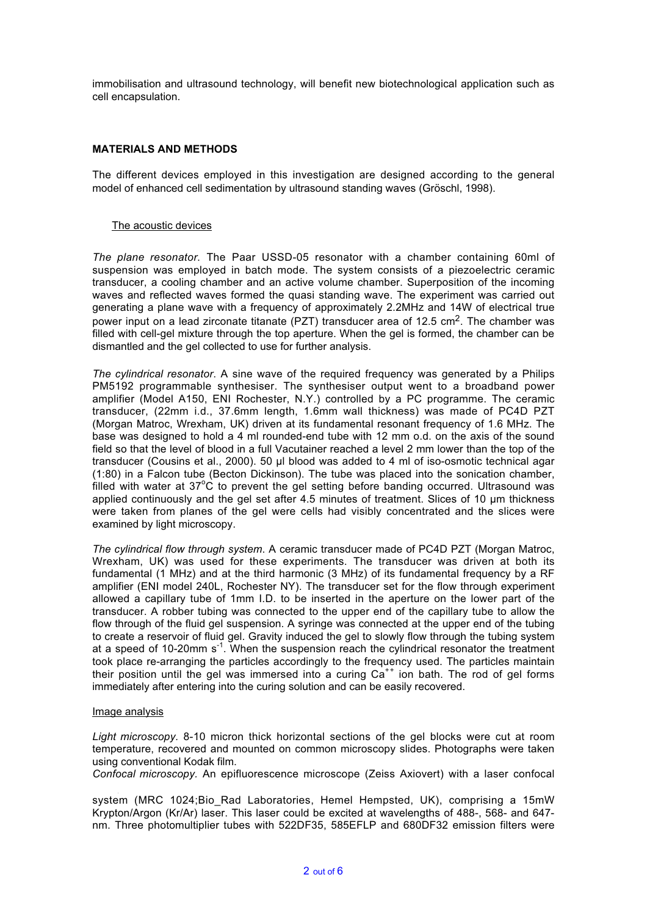immobilisation and ultrasound technology, will benefit new biotechnological application such as cell encapsulation.

# **MATERIALS AND METHODS**

The different devices employed in this investigation are designed according to the general model of enhanced cell sedimentation by ultrasound standing waves (Gröschl, 1998).

#### The acoustic devices

*The plane resonator*. The Paar USSD-05 resonator with a chamber containing 60ml of suspension was employed in batch mode. The system consists of a piezoelectric ceramic transducer, a cooling chamber and an active volume chamber. Superposition of the incoming waves and reflected waves formed the quasi standing wave. The experiment was carried out generating a plane wave with a frequency of approximately 2.2MHz and 14W of electrical true power input on a lead zirconate titanate (PZT) transducer area of  $12.5 \text{ cm}^2$ . The chamber was filled with cell-gel mixture through the top aperture. When the gel is formed, the chamber can be dismantled and the gel collected to use for further analysis.

*The cylindrical resonator*. A sine wave of the required frequency was generated by a Philips PM5192 programmable synthesiser. The synthesiser output went to a broadband power amplifier (Model A150, ENI Rochester, N.Y.) controlled by a PC programme. The ceramic transducer, (22mm i.d., 37.6mm length, 1.6mm wall thickness) was made of PC4D PZT (Morgan Matroc, Wrexham, UK) driven at its fundamental resonant frequency of 1.6 MHz. The base was designed to hold a 4 ml rounded-end tube with 12 mm o.d. on the axis of the sound field so that the level of blood in a full Vacutainer reached a level 2 mm lower than the top of the transducer (Cousins et al., 2000). 50 µl blood was added to 4 ml of iso-osmotic technical agar (1:80) in a Falcon tube (Becton Dickinson). The tube was placed into the sonication chamber, filled with water at 37°C to prevent the gel setting before banding occurred. Ultrasound was applied continuously and the gel set after 4.5 minutes of treatment. Slices of 10 µm thickness were taken from planes of the gel were cells had visibly concentrated and the slices were examined by light microscopy.

*The cylindrical flow through system*. A ceramic transducer made of PC4D PZT (Morgan Matroc, Wrexham, UK) was used for these experiments. The transducer was driven at both its fundamental (1 MHz) and at the third harmonic (3 MHz) of its fundamental frequency by a RF amplifier (ENI model 240L, Rochester NY). The transducer set for the flow through experiment allowed a capillary tube of 1mm I.D. to be inserted in the aperture on the lower part of the transducer. A robber tubing was connected to the upper end of the capillary tube to allow the flow through of the fluid gel suspension. A syringe was connected at the upper end of the tubing to create a reservoir of fluid gel. Gravity induced the gel to slowly flow through the tubing system at a speed of 10-20mm  $s^{-1}$ . When the suspension reach the cylindrical resonator the treatment took place re-arranging the particles accordingly to the frequency used. The particles maintain their position until the gel was immersed into a curing  $Ca<sup>++</sup>$  ion bath. The rod of gel forms immediately after entering into the curing solution and can be easily recovered.

#### Image analysis

*Light microscopy.* 8-10 micron thick horizontal sections of the gel blocks were cut at room temperature, recovered and mounted on common microscopy slides. Photographs were taken using conventional Kodak film.

*Confocal microscopy.* An epifluorescence microscope (Zeiss Axiovert) with a laser confocal

system (MRC 1024;Bio\_Rad Laboratories, Hemel Hempsted, UK), comprising a 15mW Krypton/Argon (Kr/Ar) laser. This laser could be excited at wavelengths of 488-, 568- and 647 nm. Three photomultiplier tubes with 522DF35, 585EFLP and 680DF32 emission filters were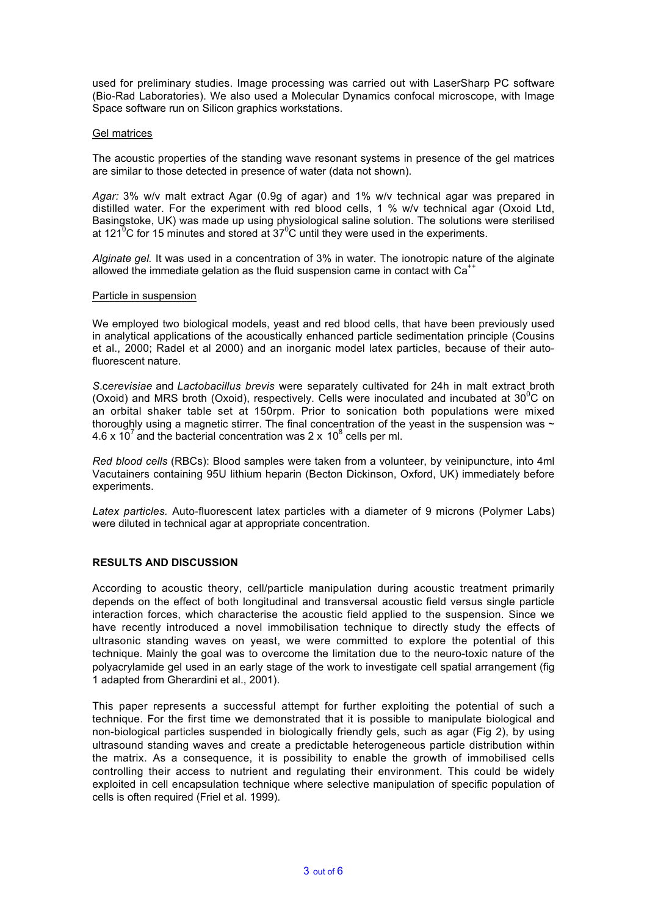used for preliminary studies. Image processing was carried out with LaserSharp PC software (Bio-Rad Laboratories). We also used a Molecular Dynamics confocal microscope, with Image Space software run on Silicon graphics workstations.

#### Gel matrices

The acoustic properties of the standing wave resonant systems in presence of the gel matrices are similar to those detected in presence of water (data not shown).

*Agar:* 3% w/v malt extract Agar (0.9g of agar) and 1% w/v technical agar was prepared in distilled water. For the experiment with red blood cells, 1 % w/v technical agar (Oxoid Ltd, Basingstoke, UK) was made up using physiological saline solution. The solutions were sterilised at 121<sup>°</sup>C for 15 minutes and stored at 37<sup>°</sup>C until they were used in the experiments.

*Alginate gel.* It was used in a concentration of 3% in water. The ionotropic nature of the alginate allowed the immediate gelation as the fluid suspension came in contact with  $Ca<sup>++</sup>$ 

#### Particle in suspension

We employed two biological models, yeast and red blood cells, that have been previously used in analytical applications of the acoustically enhanced particle sedimentation principle (Cousins et al., 2000; Radel et al 2000) and an inorganic model latex particles, because of their autofluorescent nature.

*S*.c*erevisiae* and *Lactobacillus brevis* were separately cultivated for 24h in malt extract broth (Oxoid) and MRS broth (Oxoid), respectively. Cells were inoculated and incubated at  $30^{\circ}$ C on an orbital shaker table set at 150rpm. Prior to sonication both populations were mixed thoroughly using a magnetic stirrer. The final concentration of the yeast in the suspension was  $\sim$ 4.6 x 10<sup>7</sup> and the bacterial concentration was 2 x 10<sup>8</sup> cells per ml.

*Red blood cells* (RBCs): Blood samples were taken from a volunteer, by veinipuncture, into 4ml Vacutainers containing 95U lithium heparin (Becton Dickinson, Oxford, UK) immediately before experiments.

*Latex particles.* Auto-fluorescent latex particles with a diameter of 9 microns (Polymer Labs) were diluted in technical agar at appropriate concentration.

#### **RESULTS AND DISCUSSION**

According to acoustic theory, cell/particle manipulation during acoustic treatment primarily depends on the effect of both longitudinal and transversal acoustic field versus single particle interaction forces, which characterise the acoustic field applied to the suspension. Since we have recently introduced a novel immobilisation technique to directly study the effects of ultrasonic standing waves on yeast, we were committed to explore the potential of this technique. Mainly the goal was to overcome the limitation due to the neuro-toxic nature of the polyacrylamide gel used in an early stage of the work to investigate cell spatial arrangement (fig 1 adapted from Gherardini et al., 2001).

This paper represents a successful attempt for further exploiting the potential of such a technique. For the first time we demonstrated that it is possible to manipulate biological and non-biological particles suspended in biologically friendly gels, such as agar (Fig 2), by using ultrasound standing waves and create a predictable heterogeneous particle distribution within the matrix. As a consequence, it is possibility to enable the growth of immobilised cells controlling their access to nutrient and regulating their environment. This could be widely exploited in cell encapsulation technique where selective manipulation of specific population of cells is often required (Friel et al. 1999).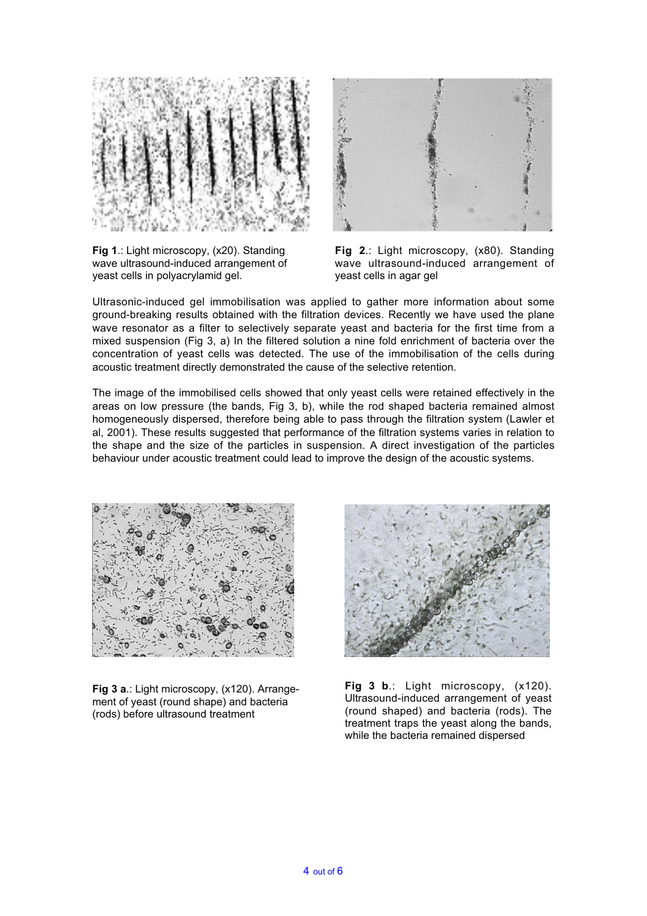

**Fig 1**.: Light microscopy, (x20). Standing wave ultrasound-induced arrangement of yeast cells in polyacrylamid gel.



**Fig 2**.: Light microscopy, (x80). Standing wave ultrasound-induced arrangement of yeast cells in agar gel

Ultrasonic-induced gel immobilisation was applied to gather more information about some ground-breaking results obtained with the filtration devices. Recently we have used the plane wave resonator as a filter to selectively separate yeast and bacteria for the first time from a mixed suspension (Fig 3, a) In the filtered solution a nine fold enrichment of bacteria over the concentration of yeast cells was detected. The use of the immobilisation of the cells during acoustic treatment directly demonstrated the cause of the selective retention.

The image of the immobilised cells showed that only yeast cells were retained effectively in the areas on low pressure (the bands, Fig 3, b), while the rod shaped bacteria remained almost homogeneously dispersed, therefore being able to pass through the filtration system (Lawler et al, 2001). These results suggested that performance of the filtration systems varies in relation to the shape and the size of the particles in suspension. A direct investigation of the particles behaviour under acoustic treatment could lead to improve the design of the acoustic systems.



**Fig 3 a**.: Light microscopy, (x120). Arrangement of yeast (round shape) and bacteria (rods) before ultrasound treatment



Fig 3 b.: Light microscopy,  $(x120)$ . Ultrasound-induced arrangement of yeast (round shaped) and bacteria (rods). The treatment traps the yeast along the bands, while the bacteria remained dispersed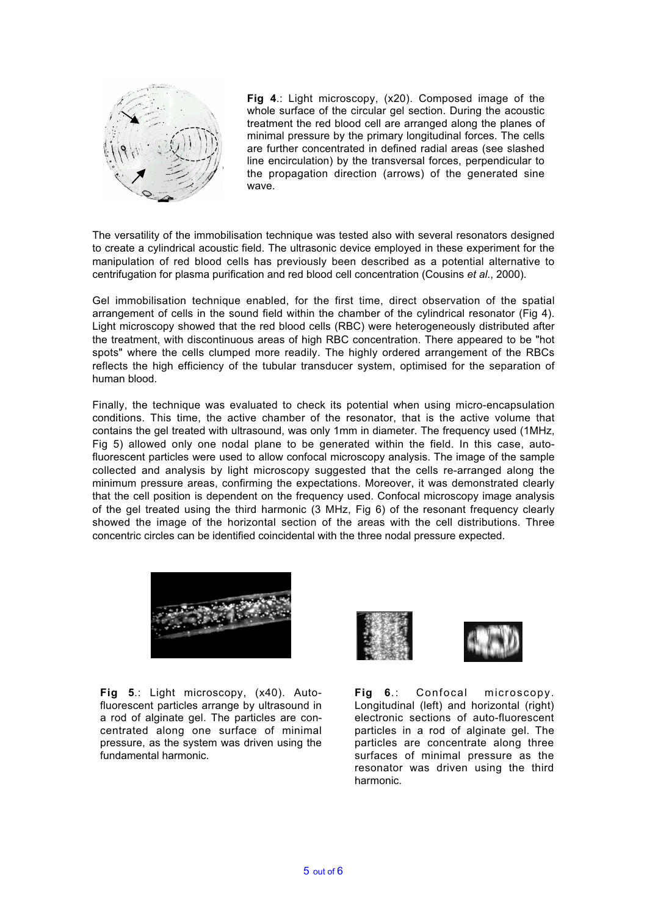

**Fig 4**.: Light microscopy, (x20). Composed image of the whole surface of the circular gel section. During the acoustic treatment the red blood cell are arranged along the planes of minimal pressure by the primary longitudinal forces. The cells are further concentrated in defined radial areas (see slashed line encirculation) by the transversal forces, perpendicular to the propagation direction (arrows) of the generated sine wave.

The versatility of the immobilisation technique was tested also with several resonators designed to create a cylindrical acoustic field. The ultrasonic device employed in these experiment for the manipulation of red blood cells has previously been described as a potential alternative to centrifugation for plasma purification and red blood cell concentration (Cousins *et al*., 2000).

Gel immobilisation technique enabled, for the first time, direct observation of the spatial arrangement of cells in the sound field within the chamber of the cylindrical resonator (Fig 4). Light microscopy showed that the red blood cells (RBC) were heterogeneously distributed after the treatment, with discontinuous areas of high RBC concentration. There appeared to be "hot spots" where the cells clumped more readily. The highly ordered arrangement of the RBCs reflects the high efficiency of the tubular transducer system, optimised for the separation of human blood.

Finally, the technique was evaluated to check its potential when using micro-encapsulation conditions. This time, the active chamber of the resonator, that is the active volume that contains the gel treated with ultrasound, was only 1mm in diameter. The frequency used (1MHz, Fig 5) allowed only one nodal plane to be generated within the field. In this case, autofluorescent particles were used to allow confocal microscopy analysis. The image of the sample collected and analysis by light microscopy suggested that the cells re-arranged along the minimum pressure areas, confirming the expectations. Moreover, it was demonstrated clearly that the cell position is dependent on the frequency used. Confocal microscopy image analysis of the gel treated using the third harmonic (3 MHz, Fig 6) of the resonant frequency clearly showed the image of the horizontal section of the areas with the cell distributions. Three concentric circles can be identified coincidental with the three nodal pressure expected.



**Fig 5**.: Light microscopy, (x40). Autofluorescent particles arrange by ultrasound in a rod of alginate gel. The particles are concentrated along one surface of minimal pressure, as the system was driven using the fundamental harmonic.





**Fig 6**.: Confocal microscopy. Longitudinal (left) and horizontal (right) electronic sections of auto-fluorescent particles in a rod of alginate gel. The particles are concentrate along three surfaces of minimal pressure as the resonator was driven using the third harmonic.